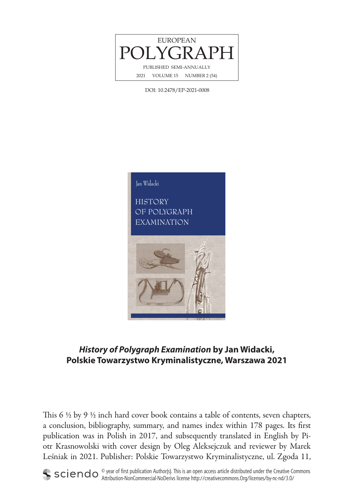

DOI: 10.2478/EP-2021-0008



## **History of Polygraph Examination by Jan Widacki, Polskie Towarzystwo Kryminalistyczne, Warszawa 2021**

This 6  $\frac{1}{2}$  by 9  $\frac{1}{2}$  inch hard cover book contains a table of contents, seven chapters, a conclusion, bibliography, summary, and names index within 178 pages. Its first publication was in Polish in 2017, and subsequently translated in English by Piotr Krasnowolski with cover design by Oleg Aleksejczuk and reviewer by Marek Leśniak in 2021. Publisher: Polskie Towarzystwo Kryminalistyczne, ul. Zgoda 11,



 $\circ$  year of first publication Author(s). This is an open access article distributed under the Creative Commons Attribution-NonCommercial-NoDerivs license http://creativecommons.Org/licenses/by-nc-nd/3.0/